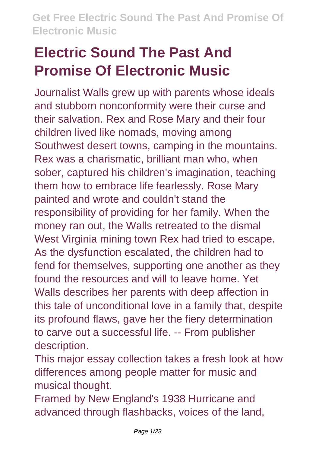Journalist Walls grew up with parents whose ideals and stubborn nonconformity were their curse and their salvation. Rex and Rose Mary and their four children lived like nomads, moving among Southwest desert towns, camping in the mountains. Rex was a charismatic, brilliant man who, when sober, captured his children's imagination, teaching them how to embrace life fearlessly. Rose Mary painted and wrote and couldn't stand the responsibility of providing for her family. When the money ran out, the Walls retreated to the dismal West Virginia mining town Rex had tried to escape. As the dysfunction escalated, the children had to fend for themselves, supporting one another as they found the resources and will to leave home. Yet Walls describes her parents with deep affection in this tale of unconditional love in a family that, despite its profound flaws, gave her the fiery determination to carve out a successful life. -- From publisher description.

This major essay collection takes a fresh look at how differences among people matter for music and musical thought.

Framed by New England's 1938 Hurricane and advanced through flashbacks, voices of the land,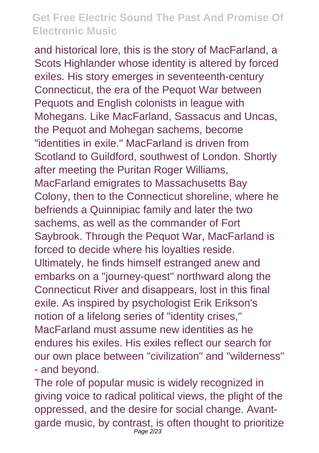and historical lore, this is the story of MacFarland, a Scots Highlander whose identity is altered by forced exiles. His story emerges in seventeenth-century Connecticut, the era of the Pequot War between Pequots and English colonists in league with Mohegans. Like MacFarland, Sassacus and Uncas, the Pequot and Mohegan sachems, become "identities in exile." MacFarland is driven from Scotland to Guildford, southwest of London. Shortly after meeting the Puritan Roger Williams, MacFarland emigrates to Massachusetts Bay Colony, then to the Connecticut shoreline, where he befriends a Quinnipiac family and later the two sachems, as well as the commander of Fort Saybrook. Through the Pequot War, MacFarland is forced to decide where his loyalties reside. Ultimately, he finds himself estranged anew and embarks on a "journey-quest" northward along the Connecticut River and disappears, lost in this final exile. As inspired by psychologist Erik Erikson's notion of a lifelong series of "identity crises," MacFarland must assume new identities as he endures his exiles. His exiles reflect our search for our own place between "civilization" and "wilderness" - and beyond.

The role of popular music is widely recognized in giving voice to radical political views, the plight of the oppressed, and the desire for social change. Avantgarde music, by contrast, is often thought to prioritize Page  $2/23$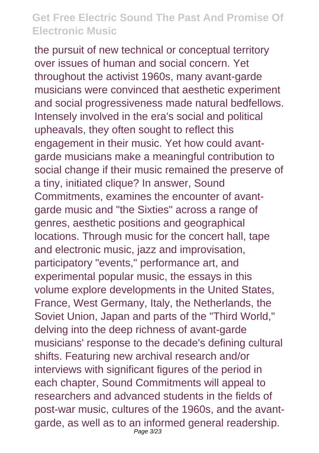the pursuit of new technical or conceptual territory over issues of human and social concern. Yet throughout the activist 1960s, many avant-garde musicians were convinced that aesthetic experiment and social progressiveness made natural bedfellows. Intensely involved in the era's social and political upheavals, they often sought to reflect this engagement in their music. Yet how could avantgarde musicians make a meaningful contribution to social change if their music remained the preserve of a tiny, initiated clique? In answer, Sound Commitments, examines the encounter of avantgarde music and "the Sixties" across a range of genres, aesthetic positions and geographical locations. Through music for the concert hall, tape and electronic music, jazz and improvisation, participatory "events," performance art, and experimental popular music, the essays in this volume explore developments in the United States, France, West Germany, Italy, the Netherlands, the Soviet Union, Japan and parts of the "Third World," delving into the deep richness of avant-garde musicians' response to the decade's defining cultural shifts. Featuring new archival research and/or interviews with significant figures of the period in each chapter, Sound Commitments will appeal to researchers and advanced students in the fields of post-war music, cultures of the 1960s, and the avantgarde, as well as to an informed general readership. Page 3/23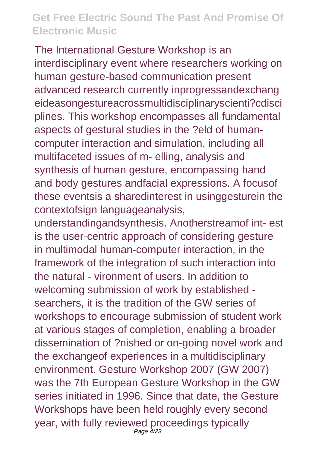The International Gesture Workshop is an interdisciplinary event where researchers working on human gesture-based communication present advanced research currently inprogressandexchang eideasongestureacrossmultidisciplinaryscienti?cdisci plines. This workshop encompasses all fundamental aspects of gestural studies in the ?eld of humancomputer interaction and simulation, including all multifaceted issues of m- elling, analysis and synthesis of human gesture, encompassing hand and body gestures andfacial expressions. A focusof these eventsis a sharedinterest in usinggesturein the contextofsign languageanalysis,

understandingandsynthesis. Anotherstreamof int- est is the user-centric approach of considering gesture in multimodal human-computer interaction, in the framework of the integration of such interaction into the natural - vironment of users. In addition to welcoming submission of work by established searchers, it is the tradition of the GW series of workshops to encourage submission of student work at various stages of completion, enabling a broader dissemination of ?nished or on-going novel work and the exchangeof experiences in a multidisciplinary environment. Gesture Workshop 2007 (GW 2007) was the 7th European Gesture Workshop in the GW series initiated in 1996. Since that date, the Gesture Workshops have been held roughly every second year, with fully reviewed proceedings typically Page 4/23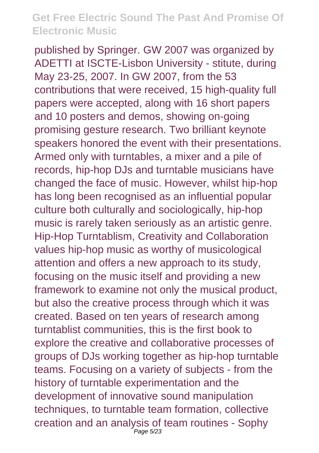published by Springer. GW 2007 was organized by ADETTI at ISCTE-Lisbon University - stitute, during May 23-25, 2007. In GW 2007, from the 53 contributions that were received, 15 high-quality full papers were accepted, along with 16 short papers and 10 posters and demos, showing on-going promising gesture research. Two brilliant keynote speakers honored the event with their presentations. Armed only with turntables, a mixer and a pile of records, hip-hop DJs and turntable musicians have changed the face of music. However, whilst hip-hop has long been recognised as an influential popular culture both culturally and sociologically, hip-hop music is rarely taken seriously as an artistic genre. Hip-Hop Turntablism, Creativity and Collaboration values hip-hop music as worthy of musicological attention and offers a new approach to its study, focusing on the music itself and providing a new framework to examine not only the musical product, but also the creative process through which it was created. Based on ten years of research among turntablist communities, this is the first book to explore the creative and collaborative processes of groups of DJs working together as hip-hop turntable teams. Focusing on a variety of subjects - from the history of turntable experimentation and the development of innovative sound manipulation techniques, to turntable team formation, collective creation and an analysis of team routines - Sophy Page 5/23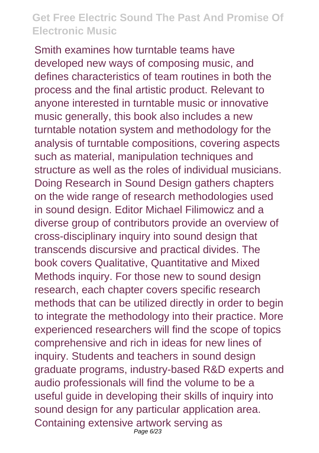Smith examines how turntable teams have developed new ways of composing music, and defines characteristics of team routines in both the process and the final artistic product. Relevant to anyone interested in turntable music or innovative music generally, this book also includes a new turntable notation system and methodology for the analysis of turntable compositions, covering aspects such as material, manipulation techniques and structure as well as the roles of individual musicians. Doing Research in Sound Design gathers chapters on the wide range of research methodologies used in sound design. Editor Michael Filimowicz and a diverse group of contributors provide an overview of cross-disciplinary inquiry into sound design that transcends discursive and practical divides. The book covers Qualitative, Quantitative and Mixed Methods inquiry. For those new to sound design research, each chapter covers specific research methods that can be utilized directly in order to begin to integrate the methodology into their practice. More experienced researchers will find the scope of topics comprehensive and rich in ideas for new lines of inquiry. Students and teachers in sound design graduate programs, industry-based R&D experts and audio professionals will find the volume to be a useful guide in developing their skills of inquiry into sound design for any particular application area. Containing extensive artwork serving as Page 6/23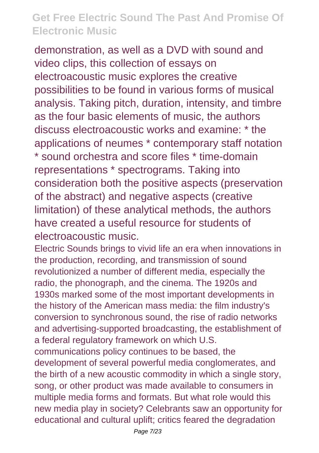demonstration, as well as a DVD with sound and video clips, this collection of essays on electroacoustic music explores the creative possibilities to be found in various forms of musical analysis. Taking pitch, duration, intensity, and timbre as the four basic elements of music, the authors discuss electroacoustic works and examine: \* the applications of neumes \* contemporary staff notation \* sound orchestra and score files \* time-domain representations \* spectrograms. Taking into consideration both the positive aspects (preservation of the abstract) and negative aspects (creative limitation) of these analytical methods, the authors have created a useful resource for students of electroacoustic music.

Electric Sounds brings to vivid life an era when innovations in the production, recording, and transmission of sound revolutionized a number of different media, especially the radio, the phonograph, and the cinema. The 1920s and 1930s marked some of the most important developments in the history of the American mass media: the film industry's conversion to synchronous sound, the rise of radio networks and advertising-supported broadcasting, the establishment of a federal regulatory framework on which U.S.

communications policy continues to be based, the development of several powerful media conglomerates, and the birth of a new acoustic commodity in which a single story, song, or other product was made available to consumers in multiple media forms and formats. But what role would this new media play in society? Celebrants saw an opportunity for educational and cultural uplift; critics feared the degradation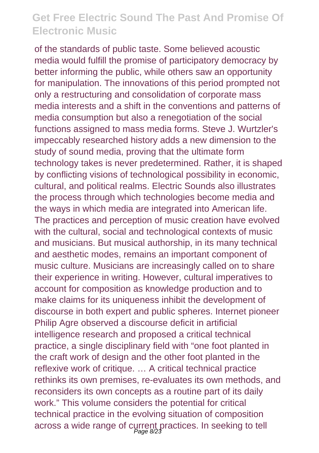of the standards of public taste. Some believed acoustic media would fulfill the promise of participatory democracy by better informing the public, while others saw an opportunity for manipulation. The innovations of this period prompted not only a restructuring and consolidation of corporate mass media interests and a shift in the conventions and patterns of media consumption but also a renegotiation of the social functions assigned to mass media forms. Steve J. Wurtzler's impeccably researched history adds a new dimension to the study of sound media, proving that the ultimate form technology takes is never predetermined. Rather, it is shaped by conflicting visions of technological possibility in economic, cultural, and political realms. Electric Sounds also illustrates the process through which technologies become media and the ways in which media are integrated into American life. The practices and perception of music creation have evolved with the cultural, social and technological contexts of music and musicians. But musical authorship, in its many technical and aesthetic modes, remains an important component of music culture. Musicians are increasingly called on to share their experience in writing. However, cultural imperatives to account for composition as knowledge production and to make claims for its uniqueness inhibit the development of discourse in both expert and public spheres. Internet pioneer Philip Agre observed a discourse deficit in artificial intelligence research and proposed a critical technical practice, a single disciplinary field with "one foot planted in the craft work of design and the other foot planted in the reflexive work of critique. … A critical technical practice rethinks its own premises, re-evaluates its own methods, and reconsiders its own concepts as a routine part of its daily work." This volume considers the potential for critical technical practice in the evolving situation of composition across a wide range of current practices. In seeking to tell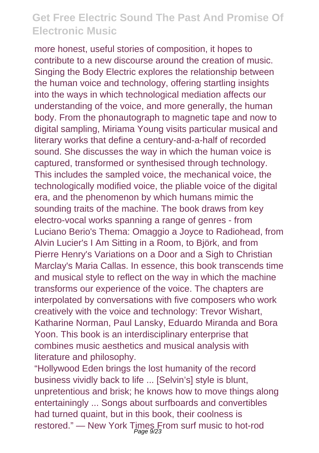more honest, useful stories of composition, it hopes to contribute to a new discourse around the creation of music. Singing the Body Electric explores the relationship between the human voice and technology, offering startling insights into the ways in which technological mediation affects our understanding of the voice, and more generally, the human body. From the phonautograph to magnetic tape and now to digital sampling, Miriama Young visits particular musical and literary works that define a century-and-a-half of recorded sound. She discusses the way in which the human voice is captured, transformed or synthesised through technology. This includes the sampled voice, the mechanical voice, the technologically modified voice, the pliable voice of the digital era, and the phenomenon by which humans mimic the sounding traits of the machine. The book draws from key electro-vocal works spanning a range of genres - from Luciano Berio's Thema: Omaggio a Joyce to Radiohead, from Alvin Lucier's I Am Sitting in a Room, to Björk, and from Pierre Henry's Variations on a Door and a Sigh to Christian Marclay's Maria Callas. In essence, this book transcends time and musical style to reflect on the way in which the machine transforms our experience of the voice. The chapters are interpolated by conversations with five composers who work creatively with the voice and technology: Trevor Wishart, Katharine Norman, Paul Lansky, Eduardo Miranda and Bora Yoon. This book is an interdisciplinary enterprise that combines music aesthetics and musical analysis with literature and philosophy.

"Hollywood Eden brings the lost humanity of the record business vividly back to life ... [Selvin's] style is blunt, unpretentious and brisk; he knows how to move things along entertainingly ... Songs about surfboards and convertibles had turned quaint, but in this book, their coolness is restored." — New York Times From surf music to hot-rod<br>Page 9/23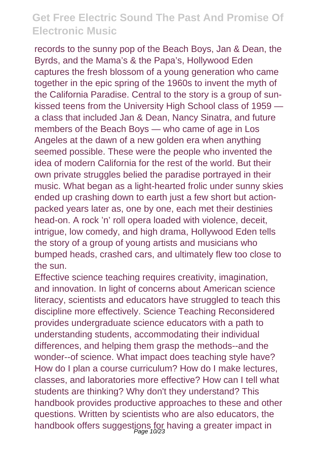records to the sunny pop of the Beach Boys, Jan & Dean, the Byrds, and the Mama's & the Papa's, Hollywood Eden captures the fresh blossom of a young generation who came together in the epic spring of the 1960s to invent the myth of the California Paradise. Central to the story is a group of sunkissed teens from the University High School class of 1959 a class that included Jan & Dean, Nancy Sinatra, and future members of the Beach Boys — who came of age in Los Angeles at the dawn of a new golden era when anything seemed possible. These were the people who invented the idea of modern California for the rest of the world. But their own private struggles belied the paradise portrayed in their music. What began as a light-hearted frolic under sunny skies ended up crashing down to earth just a few short but actionpacked years later as, one by one, each met their destinies head-on. A rock 'n' roll opera loaded with violence, deceit, intrigue, low comedy, and high drama, Hollywood Eden tells the story of a group of young artists and musicians who bumped heads, crashed cars, and ultimately flew too close to the sun.

Effective science teaching requires creativity, imagination, and innovation. In light of concerns about American science literacy, scientists and educators have struggled to teach this discipline more effectively. Science Teaching Reconsidered provides undergraduate science educators with a path to understanding students, accommodating their individual differences, and helping them grasp the methods--and the wonder--of science. What impact does teaching style have? How do I plan a course curriculum? How do I make lectures, classes, and laboratories more effective? How can I tell what students are thinking? Why don't they understand? This handbook provides productive approaches to these and other questions. Written by scientists who are also educators, the handbook offers suggestions for having a greater impact in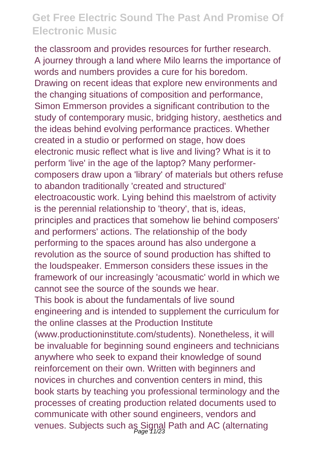the classroom and provides resources for further research. A journey through a land where Milo learns the importance of words and numbers provides a cure for his boredom. Drawing on recent ideas that explore new environments and the changing situations of composition and performance, Simon Emmerson provides a significant contribution to the study of contemporary music, bridging history, aesthetics and the ideas behind evolving performance practices. Whether created in a studio or performed on stage, how does electronic music reflect what is live and living? What is it to perform 'live' in the age of the laptop? Many performercomposers draw upon a 'library' of materials but others refuse to abandon traditionally 'created and structured' electroacoustic work. Lying behind this maelstrom of activity is the perennial relationship to 'theory', that is, ideas, principles and practices that somehow lie behind composers' and performers' actions. The relationship of the body performing to the spaces around has also undergone a revolution as the source of sound production has shifted to the loudspeaker. Emmerson considers these issues in the framework of our increasingly 'acousmatic' world in which we cannot see the source of the sounds we hear. This book is about the fundamentals of live sound engineering and is intended to supplement the curriculum for the online classes at the Production Institute (www.productioninstitute.com/students). Nonetheless, it will be invaluable for beginning sound engineers and technicians anywhere who seek to expand their knowledge of sound reinforcement on their own. Written with beginners and novices in churches and convention centers in mind, this book starts by teaching you professional terminology and the processes of creating production related documents used to communicate with other sound engineers, vendors and venues. Subjects such as Signal Path and AC (alternating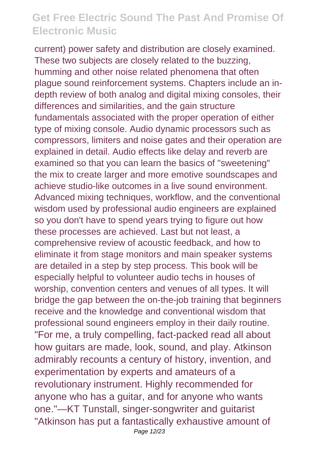current) power safety and distribution are closely examined. These two subjects are closely related to the buzzing, humming and other noise related phenomena that often plague sound reinforcement systems. Chapters include an indepth review of both analog and digital mixing consoles, their differences and similarities, and the gain structure fundamentals associated with the proper operation of either type of mixing console. Audio dynamic processors such as compressors, limiters and noise gates and their operation are explained in detail. Audio effects like delay and reverb are examined so that you can learn the basics of "sweetening" the mix to create larger and more emotive soundscapes and achieve studio-like outcomes in a live sound environment. Advanced mixing techniques, workflow, and the conventional wisdom used by professional audio engineers are explained so you don't have to spend years trying to figure out how these processes are achieved. Last but not least, a comprehensive review of acoustic feedback, and how to eliminate it from stage monitors and main speaker systems are detailed in a step by step process. This book will be especially helpful to volunteer audio techs in houses of worship, convention centers and venues of all types. It will bridge the gap between the on-the-job training that beginners receive and the knowledge and conventional wisdom that professional sound engineers employ in their daily routine. "For me, a truly compelling, fact-packed read all about how guitars are made, look, sound, and play. Atkinson admirably recounts a century of history, invention, and experimentation by experts and amateurs of a revolutionary instrument. Highly recommended for anyone who has a guitar, and for anyone who wants one."—KT Tunstall, singer-songwriter and guitarist "Atkinson has put a fantastically exhaustive amount of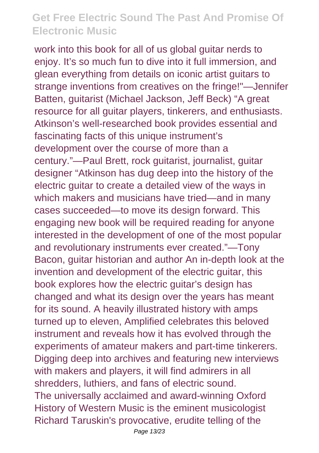work into this book for all of us global guitar nerds to enjoy. It's so much fun to dive into it full immersion, and glean everything from details on iconic artist guitars to strange inventions from creatives on the fringe!"—Jennifer Batten, guitarist (Michael Jackson, Jeff Beck) "A great resource for all guitar players, tinkerers, and enthusiasts. Atkinson's well-researched book provides essential and fascinating facts of this unique instrument's development over the course of more than a century."—Paul Brett, rock guitarist, journalist, guitar designer "Atkinson has dug deep into the history of the electric guitar to create a detailed view of the ways in which makers and musicians have tried—and in many cases succeeded—to move its design forward. This engaging new book will be required reading for anyone interested in the development of one of the most popular and revolutionary instruments ever created."—Tony Bacon, guitar historian and author An in-depth look at the invention and development of the electric guitar, this book explores how the electric guitar's design has changed and what its design over the years has meant for its sound. A heavily illustrated history with amps turned up to eleven, Amplified celebrates this beloved instrument and reveals how it has evolved through the experiments of amateur makers and part-time tinkerers. Digging deep into archives and featuring new interviews with makers and players, it will find admirers in all shredders, luthiers, and fans of electric sound. The universally acclaimed and award-winning Oxford History of Western Music is the eminent musicologist Richard Taruskin's provocative, erudite telling of the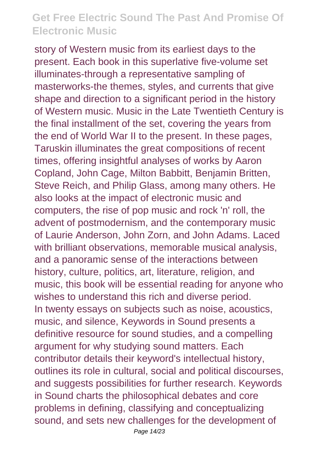story of Western music from its earliest days to the present. Each book in this superlative five-volume set illuminates-through a representative sampling of masterworks-the themes, styles, and currents that give shape and direction to a significant period in the history of Western music. Music in the Late Twentieth Century is the final installment of the set, covering the years from the end of World War II to the present. In these pages, Taruskin illuminates the great compositions of recent times, offering insightful analyses of works by Aaron Copland, John Cage, Milton Babbitt, Benjamin Britten, Steve Reich, and Philip Glass, among many others. He also looks at the impact of electronic music and computers, the rise of pop music and rock 'n' roll, the advent of postmodernism, and the contemporary music of Laurie Anderson, John Zorn, and John Adams. Laced with brilliant observations, memorable musical analysis, and a panoramic sense of the interactions between history, culture, politics, art, literature, religion, and music, this book will be essential reading for anyone who wishes to understand this rich and diverse period. In twenty essays on subjects such as noise, acoustics, music, and silence, Keywords in Sound presents a definitive resource for sound studies, and a compelling argument for why studying sound matters. Each contributor details their keyword's intellectual history, outlines its role in cultural, social and political discourses, and suggests possibilities for further research. Keywords in Sound charts the philosophical debates and core problems in defining, classifying and conceptualizing sound, and sets new challenges for the development of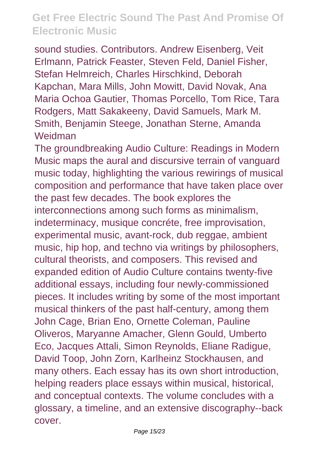sound studies. Contributors. Andrew Eisenberg, Veit Erlmann, Patrick Feaster, Steven Feld, Daniel Fisher, Stefan Helmreich, Charles Hirschkind, Deborah Kapchan, Mara Mills, John Mowitt, David Novak, Ana Maria Ochoa Gautier, Thomas Porcello, Tom Rice, Tara Rodgers, Matt Sakakeeny, David Samuels, Mark M. Smith, Benjamin Steege, Jonathan Sterne, Amanda Weidman

The groundbreaking Audio Culture: Readings in Modern Music maps the aural and discursive terrain of vanguard music today, highlighting the various rewirings of musical composition and performance that have taken place over the past few decades. The book explores the interconnections among such forms as minimalism, indeterminacy, musique concréte, free improvisation, experimental music, avant-rock, dub reggae, ambient music, hip hop, and techno via writings by philosophers, cultural theorists, and composers. This revised and expanded edition of Audio Culture contains twenty-five additional essays, including four newly-commissioned pieces. It includes writing by some of the most important musical thinkers of the past half-century, among them John Cage, Brian Eno, Ornette Coleman, Pauline Oliveros, Maryanne Amacher, Glenn Gould, Umberto Eco, Jacques Attali, Simon Reynolds, Eliane Radigue, David Toop, John Zorn, Karlheinz Stockhausen, and many others. Each essay has its own short introduction, helping readers place essays within musical, historical, and conceptual contexts. The volume concludes with a glossary, a timeline, and an extensive discography--back cover.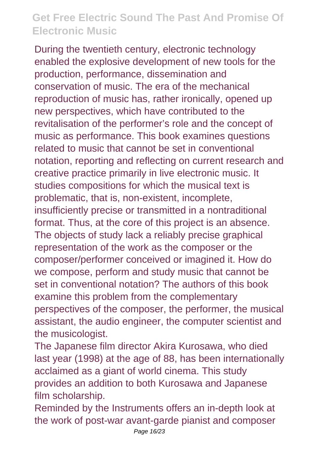During the twentieth century, electronic technology enabled the explosive development of new tools for the production, performance, dissemination and conservation of music. The era of the mechanical reproduction of music has, rather ironically, opened up new perspectives, which have contributed to the revitalisation of the performer's role and the concept of music as performance. This book examines questions related to music that cannot be set in conventional notation, reporting and reflecting on current research and creative practice primarily in live electronic music. It studies compositions for which the musical text is problematic, that is, non-existent, incomplete, insufficiently precise or transmitted in a nontraditional format. Thus, at the core of this project is an absence. The objects of study lack a reliably precise graphical representation of the work as the composer or the composer/performer conceived or imagined it. How do we compose, perform and study music that cannot be set in conventional notation? The authors of this book examine this problem from the complementary perspectives of the composer, the performer, the musical assistant, the audio engineer, the computer scientist and the musicologist.

The Japanese film director Akira Kurosawa, who died last year (1998) at the age of 88, has been internationally acclaimed as a giant of world cinema. This study provides an addition to both Kurosawa and Japanese film scholarship.

Reminded by the Instruments offers an in-depth look at the work of post-war avant-garde pianist and composer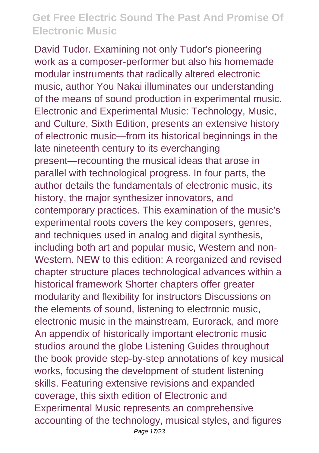David Tudor. Examining not only Tudor's pioneering work as a composer-performer but also his homemade modular instruments that radically altered electronic music, author You Nakai illuminates our understanding of the means of sound production in experimental music. Electronic and Experimental Music: Technology, Music, and Culture, Sixth Edition, presents an extensive history of electronic music—from its historical beginnings in the late nineteenth century to its everchanging present—recounting the musical ideas that arose in parallel with technological progress. In four parts, the author details the fundamentals of electronic music, its history, the major synthesizer innovators, and contemporary practices. This examination of the music's experimental roots covers the key composers, genres, and techniques used in analog and digital synthesis, including both art and popular music, Western and non-Western. NEW to this edition: A reorganized and revised chapter structure places technological advances within a historical framework Shorter chapters offer greater modularity and flexibility for instructors Discussions on the elements of sound, listening to electronic music, electronic music in the mainstream, Eurorack, and more An appendix of historically important electronic music studios around the globe Listening Guides throughout the book provide step-by-step annotations of key musical works, focusing the development of student listening skills. Featuring extensive revisions and expanded coverage, this sixth edition of Electronic and Experimental Music represents an comprehensive accounting of the technology, musical styles, and figures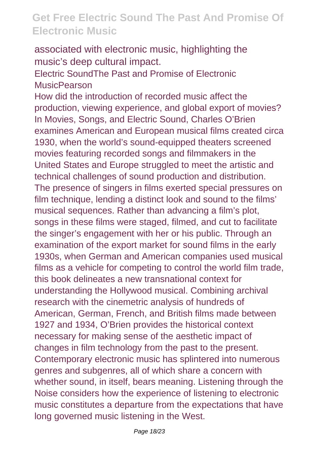associated with electronic music, highlighting the music's deep cultural impact.

Electric SoundThe Past and Promise of Electronic **MusicPearson** 

How did the introduction of recorded music affect the production, viewing experience, and global export of movies? In Movies, Songs, and Electric Sound, Charles O'Brien examines American and European musical films created circa 1930, when the world's sound-equipped theaters screened movies featuring recorded songs and filmmakers in the United States and Europe struggled to meet the artistic and technical challenges of sound production and distribution. The presence of singers in films exerted special pressures on film technique, lending a distinct look and sound to the films' musical sequences. Rather than advancing a film's plot, songs in these films were staged, filmed, and cut to facilitate the singer's engagement with her or his public. Through an examination of the export market for sound films in the early 1930s, when German and American companies used musical films as a vehicle for competing to control the world film trade, this book delineates a new transnational context for understanding the Hollywood musical. Combining archival research with the cinemetric analysis of hundreds of American, German, French, and British films made between 1927 and 1934, O'Brien provides the historical context necessary for making sense of the aesthetic impact of changes in film technology from the past to the present. Contemporary electronic music has splintered into numerous genres and subgenres, all of which share a concern with whether sound, in itself, bears meaning. Listening through the Noise considers how the experience of listening to electronic music constitutes a departure from the expectations that have long governed music listening in the West.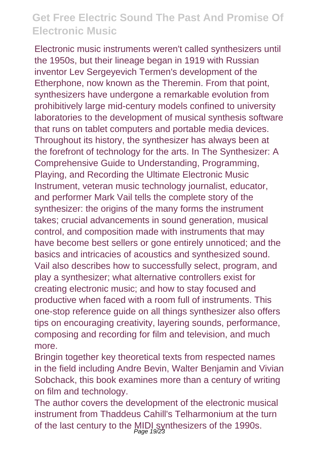Electronic music instruments weren't called synthesizers until the 1950s, but their lineage began in 1919 with Russian inventor Lev Sergeyevich Termen's development of the Etherphone, now known as the Theremin. From that point, synthesizers have undergone a remarkable evolution from prohibitively large mid-century models confined to university laboratories to the development of musical synthesis software that runs on tablet computers and portable media devices. Throughout its history, the synthesizer has always been at the forefront of technology for the arts. In The Synthesizer: A Comprehensive Guide to Understanding, Programming, Playing, and Recording the Ultimate Electronic Music Instrument, veteran music technology journalist, educator, and performer Mark Vail tells the complete story of the synthesizer: the origins of the many forms the instrument takes; crucial advancements in sound generation, musical control, and composition made with instruments that may have become best sellers or gone entirely unnoticed; and the basics and intricacies of acoustics and synthesized sound. Vail also describes how to successfully select, program, and play a synthesizer; what alternative controllers exist for creating electronic music; and how to stay focused and productive when faced with a room full of instruments. This one-stop reference guide on all things synthesizer also offers tips on encouraging creativity, layering sounds, performance, composing and recording for film and television, and much more.

Bringin together key theoretical texts from respected names in the field including Andre Bevin, Walter Benjamin and Vivian Sobchack, this book examines more than a century of writing on film and technology.

The author covers the development of the electronic musical instrument from Thaddeus Cahill's Telharmonium at the turn of the last century to the MIDI synthesizers of the 1990s.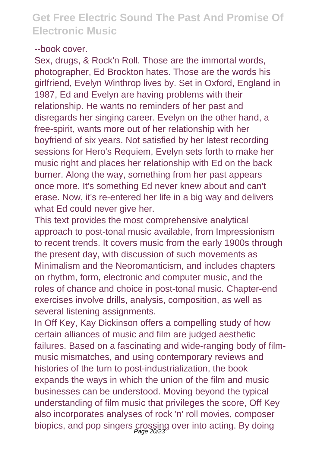#### --book cover.

Sex, drugs, & Rock'n Roll. Those are the immortal words, photographer, Ed Brockton hates. Those are the words his girlfriend, Evelyn Winthrop lives by. Set in Oxford, England in 1987, Ed and Evelyn are having problems with their relationship. He wants no reminders of her past and disregards her singing career. Evelyn on the other hand, a free-spirit, wants more out of her relationship with her boyfriend of six years. Not satisfied by her latest recording sessions for Hero's Requiem, Evelyn sets forth to make her music right and places her relationship with Ed on the back burner. Along the way, something from her past appears once more. It's something Ed never knew about and can't erase. Now, it's re-entered her life in a big way and delivers what Ed could never give her.

This text provides the most comprehensive analytical approach to post-tonal music available, from Impressionism to recent trends. It covers music from the early 1900s through the present day, with discussion of such movements as Minimalism and the Neoromanticism, and includes chapters on rhythm, form, electronic and computer music, and the roles of chance and choice in post-tonal music. Chapter-end exercises involve drills, analysis, composition, as well as several listening assignments.

In Off Key, Kay Dickinson offers a compelling study of how certain alliances of music and film are judged aesthetic failures. Based on a fascinating and wide-ranging body of filmmusic mismatches, and using contemporary reviews and histories of the turn to post-industrialization, the book expands the ways in which the union of the film and music businesses can be understood. Moving beyond the typical understanding of film music that privileges the score, Off Key also incorporates analyses of rock 'n' roll movies, composer biopics, and pop singers crossing over into acting. By doing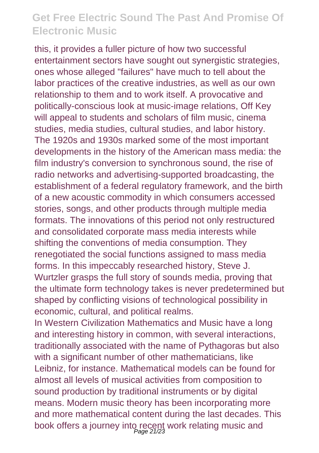this, it provides a fuller picture of how two successful entertainment sectors have sought out synergistic strategies, ones whose alleged "failures" have much to tell about the labor practices of the creative industries, as well as our own relationship to them and to work itself. A provocative and politically-conscious look at music-image relations, Off Key will appeal to students and scholars of film music, cinema studies, media studies, cultural studies, and labor history. The 1920s and 1930s marked some of the most important developments in the history of the American mass media: the film industry's conversion to synchronous sound, the rise of radio networks and advertising-supported broadcasting, the establishment of a federal regulatory framework, and the birth of a new acoustic commodity in which consumers accessed stories, songs, and other products through multiple media formats. The innovations of this period not only restructured and consolidated corporate mass media interests while shifting the conventions of media consumption. They renegotiated the social functions assigned to mass media forms. In this impeccably researched history, Steve J. Wurtzler grasps the full story of sounds media, proving that the ultimate form technology takes is never predetermined but shaped by conflicting visions of technological possibility in economic, cultural, and political realms.

In Western Civilization Mathematics and Music have a long and interesting history in common, with several interactions, traditionally associated with the name of Pythagoras but also with a significant number of other mathematicians, like Leibniz, for instance. Mathematical models can be found for almost all levels of musical activities from composition to sound production by traditional instruments or by digital means. Modern music theory has been incorporating more and more mathematical content during the last decades. This book offers a journey into recent work relating music and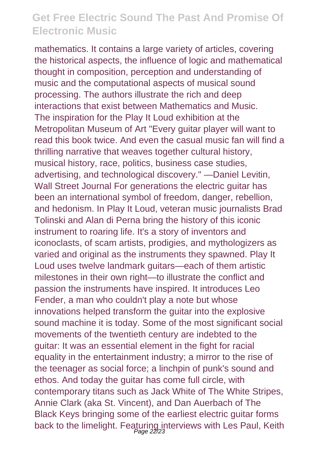mathematics. It contains a large variety of articles, covering the historical aspects, the influence of logic and mathematical thought in composition, perception and understanding of music and the computational aspects of musical sound processing. The authors illustrate the rich and deep interactions that exist between Mathematics and Music. The inspiration for the Play It Loud exhibition at the Metropolitan Museum of Art "Every guitar player will want to read this book twice. And even the casual music fan will find a thrilling narrative that weaves together cultural history, musical history, race, politics, business case studies, advertising, and technological discovery." —Daniel Levitin, Wall Street Journal For generations the electric quitar has been an international symbol of freedom, danger, rebellion, and hedonism. In Play It Loud, veteran music journalists Brad Tolinski and Alan di Perna bring the history of this iconic instrument to roaring life. It's a story of inventors and iconoclasts, of scam artists, prodigies, and mythologizers as varied and original as the instruments they spawned. Play It Loud uses twelve landmark guitars—each of them artistic milestones in their own right—to illustrate the conflict and passion the instruments have inspired. It introduces Leo Fender, a man who couldn't play a note but whose innovations helped transform the guitar into the explosive sound machine it is today. Some of the most significant social movements of the twentieth century are indebted to the guitar: It was an essential element in the fight for racial equality in the entertainment industry; a mirror to the rise of the teenager as social force; a linchpin of punk's sound and ethos. And today the guitar has come full circle, with contemporary titans such as Jack White of The White Stripes, Annie Clark (aka St. Vincent), and Dan Auerbach of The Black Keys bringing some of the earliest electric guitar forms back to the limelight. Featuring interviews with Les Paul, Keith